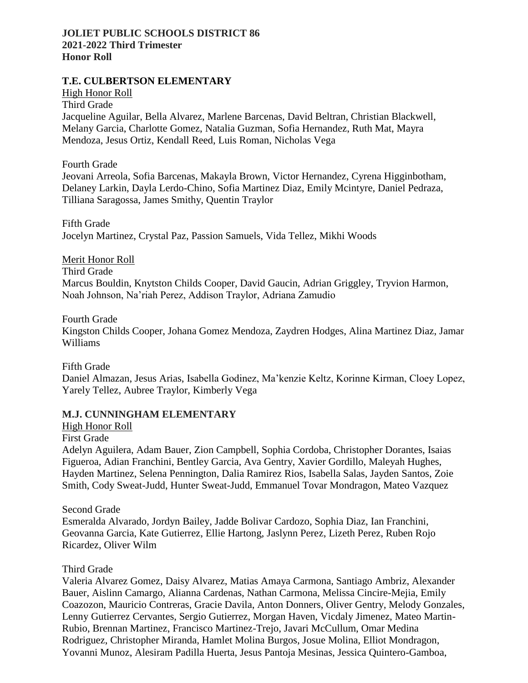## **JOLIET PUBLIC SCHOOLS DISTRICT 86 2021-2022 Third Trimester Honor Roll**

## **T.E. CULBERTSON ELEMENTARY**

High Honor Roll

Third Grade

Jacqueline Aguilar, Bella Alvarez, Marlene Barcenas, David Beltran, Christian Blackwell, Melany Garcia, Charlotte Gomez, Natalia Guzman, Sofia Hernandez, Ruth Mat, Mayra Mendoza, Jesus Ortiz, Kendall Reed, Luis Roman, Nicholas Vega

Fourth Grade

Jeovani Arreola, Sofia Barcenas, Makayla Brown, Victor Hernandez, Cyrena Higginbotham, Delaney Larkin, Dayla Lerdo-Chino, Sofia Martinez Diaz, Emily Mcintyre, Daniel Pedraza, Tilliana Saragossa, James Smithy, Quentin Traylor

Fifth Grade Jocelyn Martinez, Crystal Paz, Passion Samuels, Vida Tellez, Mikhi Woods

Merit Honor Roll Third Grade Marcus Bouldin, Knytston Childs Cooper, David Gaucin, Adrian Griggley, Tryvion Harmon, Noah Johnson, Na'riah Perez, Addison Traylor, Adriana Zamudio

Fourth Grade Kingston Childs Cooper, Johana Gomez Mendoza, Zaydren Hodges, Alina Martinez Diaz, Jamar Williams

Fifth Grade Daniel Almazan, Jesus Arias, Isabella Godinez, Ma'kenzie Keltz, Korinne Kirman, Cloey Lopez, Yarely Tellez, Aubree Traylor, Kimberly Vega

## **M.J. CUNNINGHAM ELEMENTARY**

High Honor Roll

First Grade

Adelyn Aguilera, Adam Bauer, Zion Campbell, Sophia Cordoba, Christopher Dorantes, Isaias Figueroa, Adian Franchini, Bentley Garcia, Ava Gentry, Xavier Gordillo, Maleyah Hughes, Hayden Martinez, Selena Pennington, Dalia Ramirez Rios, Isabella Salas, Jayden Santos, Zoie Smith, Cody Sweat-Judd, Hunter Sweat-Judd, Emmanuel Tovar Mondragon, Mateo Vazquez

Second Grade

Esmeralda Alvarado, Jordyn Bailey, Jadde Bolivar Cardozo, Sophia Diaz, Ian Franchini, Geovanna Garcia, Kate Gutierrez, Ellie Hartong, Jaslynn Perez, Lizeth Perez, Ruben Rojo Ricardez, Oliver Wilm

## Third Grade

Valeria Alvarez Gomez, Daisy Alvarez, Matias Amaya Carmona, Santiago Ambriz, Alexander Bauer, Aislinn Camargo, Alianna Cardenas, Nathan Carmona, Melissa Cincire-Mejia, Emily Coazozon, Mauricio Contreras, Gracie Davila, Anton Donners, Oliver Gentry, Melody Gonzales, Lenny Gutierrez Cervantes, Sergio Gutierrez, Morgan Haven, Vicdaly Jimenez, Mateo Martin-Rubio, Brennan Martinez, Francisco Martinez-Trejo, Javari McCullum, Omar Medina Rodriguez, Christopher Miranda, Hamlet Molina Burgos, Josue Molina, Elliot Mondragon, Yovanni Munoz, Alesiram Padilla Huerta, Jesus Pantoja Mesinas, Jessica Quintero-Gamboa,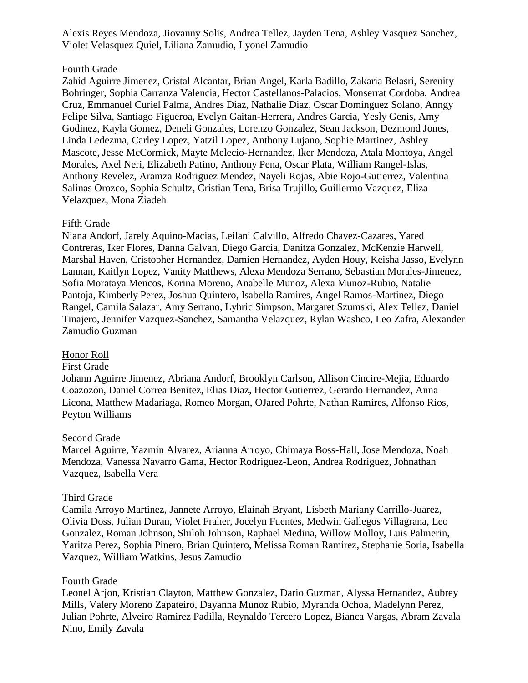Alexis Reyes Mendoza, Jiovanny Solis, Andrea Tellez, Jayden Tena, Ashley Vasquez Sanchez, Violet Velasquez Quiel, Liliana Zamudio, Lyonel Zamudio

## Fourth Grade

Zahid Aguirre Jimenez, Cristal Alcantar, Brian Angel, Karla Badillo, Zakaria Belasri, Serenity Bohringer, Sophia Carranza Valencia, Hector Castellanos-Palacios, Monserrat Cordoba, Andrea Cruz, Emmanuel Curiel Palma, Andres Diaz, Nathalie Diaz, Oscar Dominguez Solano, Anngy Felipe Silva, Santiago Figueroa, Evelyn Gaitan-Herrera, Andres Garcia, Yesly Genis, Amy Godinez, Kayla Gomez, Deneli Gonzales, Lorenzo Gonzalez, Sean Jackson, Dezmond Jones, Linda Ledezma, Carley Lopez, Yatzil Lopez, Anthony Lujano, Sophie Martinez, Ashley Mascote, Jesse McCormick, Mayte Melecio-Hernandez, Iker Mendoza, Atala Montoya, Angel Morales, Axel Neri, Elizabeth Patino, Anthony Pena, Oscar Plata, William Rangel-Islas, Anthony Revelez, Aramza Rodriguez Mendez, Nayeli Rojas, Abie Rojo-Gutierrez, Valentina Salinas Orozco, Sophia Schultz, Cristian Tena, Brisa Trujillo, Guillermo Vazquez, Eliza Velazquez, Mona Ziadeh

## Fifth Grade

Niana Andorf, Jarely Aquino-Macias, Leilani Calvillo, Alfredo Chavez-Cazares, Yared Contreras, Iker Flores, Danna Galvan, Diego Garcia, Danitza Gonzalez, McKenzie Harwell, Marshal Haven, Cristopher Hernandez, Damien Hernandez, Ayden Houy, Keisha Jasso, Evelynn Lannan, Kaitlyn Lopez, Vanity Matthews, Alexa Mendoza Serrano, Sebastian Morales-Jimenez, Sofia Morataya Mencos, Korina Moreno, Anabelle Munoz, Alexa Munoz-Rubio, Natalie Pantoja, Kimberly Perez, Joshua Quintero, Isabella Ramires, Angel Ramos-Martinez, Diego Rangel, Camila Salazar, Amy Serrano, Lyhric Simpson, Margaret Szumski, Alex Tellez, Daniel Tinajero, Jennifer Vazquez-Sanchez, Samantha Velazquez, Rylan Washco, Leo Zafra, Alexander Zamudio Guzman

## Honor Roll

#### First Grade

Johann Aguirre Jimenez, Abriana Andorf, Brooklyn Carlson, Allison Cincire-Mejia, Eduardo Coazozon, Daniel Correa Benitez, Elias Diaz, Hector Gutierrez, Gerardo Hernandez, Anna Licona, Matthew Madariaga, Romeo Morgan, OJared Pohrte, Nathan Ramires, Alfonso Rios, Peyton Williams

#### Second Grade

Marcel Aguirre, Yazmin Alvarez, Arianna Arroyo, Chimaya Boss-Hall, Jose Mendoza, Noah Mendoza, Vanessa Navarro Gama, Hector Rodriguez-Leon, Andrea Rodriguez, Johnathan Vazquez, Isabella Vera

## Third Grade

Camila Arroyo Martinez, Jannete Arroyo, Elainah Bryant, Lisbeth Mariany Carrillo-Juarez, Olivia Doss, Julian Duran, Violet Fraher, Jocelyn Fuentes, Medwin Gallegos Villagrana, Leo Gonzalez, Roman Johnson, Shiloh Johnson, Raphael Medina, Willow Molloy, Luis Palmerin, Yaritza Perez, Sophia Pinero, Brian Quintero, Melissa Roman Ramirez, Stephanie Soria, Isabella Vazquez, William Watkins, Jesus Zamudio

## Fourth Grade

Leonel Arjon, Kristian Clayton, Matthew Gonzalez, Dario Guzman, Alyssa Hernandez, Aubrey Mills, Valery Moreno Zapateiro, Dayanna Munoz Rubio, Myranda Ochoa, Madelynn Perez, Julian Pohrte, Alveiro Ramirez Padilla, Reynaldo Tercero Lopez, Bianca Vargas, Abram Zavala Nino, Emily Zavala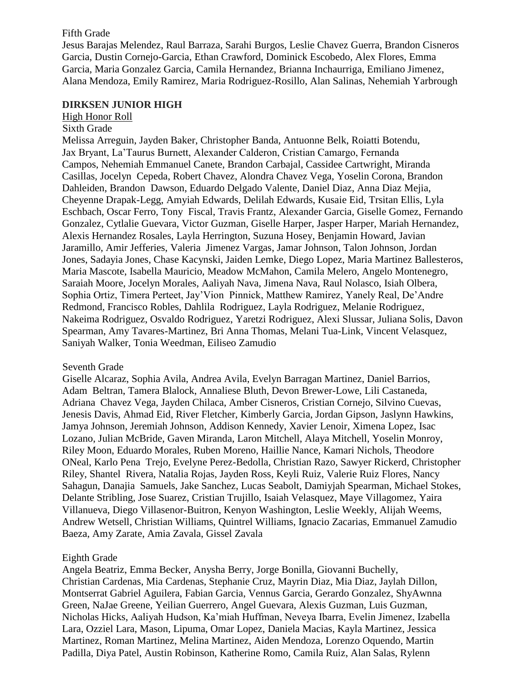## Fifth Grade

Jesus Barajas Melendez, Raul Barraza, Sarahi Burgos, Leslie Chavez Guerra, Brandon Cisneros Garcia, Dustin Cornejo-Garcia, Ethan Crawford, Dominick Escobedo, Alex Flores, Emma Garcia, Maria Gonzalez Garcia, Camila Hernandez, Brianna Inchaurriga, Emiliano Jimenez, Alana Mendoza, Emily Ramirez, Maria Rodriguez-Rosillo, Alan Salinas, Nehemiah Yarbrough

#### **DIRKSEN JUNIOR HIGH**

## High Honor Roll

#### Sixth Grade

Melissa Arreguin, Jayden Baker, Christopher Banda, Antuonne Belk, Roiatti Botendu, Jax Bryant, La'Taurus Burnett, Alexander Calderon, Cristian Camargo, Fernanda Campos, Nehemiah Emmanuel Canete, Brandon Carbajal, Cassidee Cartwright, Miranda Casillas, Jocelyn Cepeda, Robert Chavez, Alondra Chavez Vega, Yoselin Corona, Brandon Dahleiden, Brandon Dawson, Eduardo Delgado Valente, Daniel Diaz, Anna Diaz Mejia, Cheyenne Drapak-Legg, Amyiah Edwards, Delilah Edwards, Kusaie Eid, Trsitan Ellis, Lyla Eschbach, Oscar Ferro, Tony Fiscal, Travis Frantz, Alexander Garcia, Giselle Gomez, Fernando Gonzalez, Cytlalie Guevara, Victor Guzman, Giselle Harper, Jasper Harper, Mariah Hernandez, Alexis Hernandez Rosales, Layla Herrington, Suzuna Hosey, Benjamin Howard, Javian Jaramillo, Amir Jefferies, Valeria Jimenez Vargas, Jamar Johnson, Talon Johnson, Jordan Jones, Sadayia Jones, Chase Kacynski, Jaiden Lemke, Diego Lopez, Maria Martinez Ballesteros, Maria Mascote, Isabella Mauricio, Meadow McMahon, Camila Melero, Angelo Montenegro, Saraiah Moore, Jocelyn Morales, Aaliyah Nava, Jimena Nava, Raul Nolasco, Isiah Olbera, Sophia Ortiz, Timera Perteet, Jay'Vion Pinnick, Matthew Ramirez, Yanely Real, De'Andre Redmond, Francisco Robles, Dahlila Rodriguez, Layla Rodriguez, Melanie Rodriguez, Nakeima Rodriguez, Osvaldo Rodriguez, Yaretzi Rodriguez, Alexi Slussar, Juliana Solis, Davon Spearman, Amy Tavares-Martinez, Bri Anna Thomas, Melani Tua-Link, Vincent Velasquez, Saniyah Walker, Tonia Weedman, Eiliseo Zamudio

## Seventh Grade

Giselle Alcaraz, Sophia Avila, Andrea Avila, Evelyn Barragan Martinez, Daniel Barrios, Adam Beltran, Tamera Blalock, Annaliese Bluth, Devon Brewer-Lowe, Lili Castaneda, Adriana Chavez Vega, Jayden Chilaca, Amber Cisneros, Cristian Cornejo, Silvino Cuevas, Jenesis Davis, Ahmad Eid, River Fletcher, Kimberly Garcia, Jordan Gipson, Jaslynn Hawkins, Jamya Johnson, Jeremiah Johnson, Addison Kennedy, Xavier Lenoir, Ximena Lopez, Isac Lozano, Julian McBride, Gaven Miranda, Laron Mitchell, Alaya Mitchell, Yoselin Monroy, Riley Moon, Eduardo Morales, Ruben Moreno, Haillie Nance, Kamari Nichols, Theodore ONeal, Karlo Pena Trejo, Evelyne Perez-Bedolla, Christian Razo, Sawyer Rickerd, Christopher Riley, Shantel Rivera, Natalia Rojas, Jayden Ross, Keyli Ruiz, Valerie Ruiz Flores, Nancy Sahagun, Danajia Samuels, Jake Sanchez, Lucas Seabolt, Damiyjah Spearman, Michael Stokes, Delante Stribling, Jose Suarez, Cristian Trujillo, Isaiah Velasquez, Maye Villagomez, Yaira Villanueva, Diego Villasenor-Buitron, Kenyon Washington, Leslie Weekly, Alijah Weems, Andrew Wetsell, Christian Williams, Quintrel Williams, Ignacio Zacarias, Emmanuel Zamudio Baeza, Amy Zarate, Amia Zavala, Gissel Zavala

## Eighth Grade

Angela Beatriz, Emma Becker, Anysha Berry, Jorge Bonilla, Giovanni Buchelly, Christian Cardenas, Mia Cardenas, Stephanie Cruz, Mayrin Diaz, Mia Diaz, Jaylah Dillon, Montserrat Gabriel Aguilera, Fabian Garcia, Vennus Garcia, Gerardo Gonzalez, ShyAwnna Green, NaJae Greene, Yeilian Guerrero, Angel Guevara, Alexis Guzman, Luis Guzman, Nicholas Hicks, Aaliyah Hudson, Ka'miah Huffman, Neveya Ibarra, Evelin Jimenez, Izabella Lara, Ozziel Lara, Mason, Lipuma, Omar Lopez, Daniela Macias, Kayla Martinez, Jessica Martinez, Roman Martinez, Melina Martinez, Aiden Mendoza, Lorenzo Oquendo, Martin Padilla, Diya Patel, Austin Robinson, Katherine Romo, Camila Ruiz, Alan Salas, Rylenn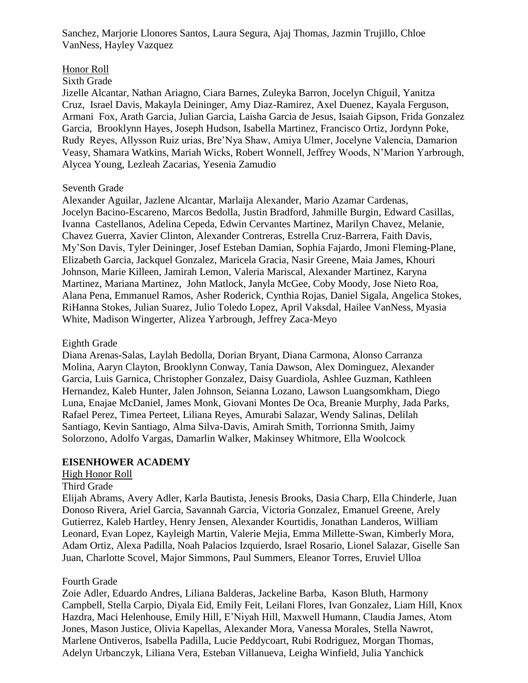Sanchez, Marjorie Llonores Santos, Laura Segura, Ajaj Thomas, Jazmin Trujillo, Chloe VanNess, Hayley Vazquez

## Honor Roll

## Sixth Grade

Jizelle Alcantar, Nathan Ariagno, Ciara Barnes, Zuleyka Barron, Jocelyn Chiguil, Yanitza Cruz, Israel Davis, Makayla Deininger, Amy Diaz-Ramirez, Axel Duenez, Kayala Ferguson, Armani Fox, Arath Garcia, Julian Garcia, Laisha Garcia de Jesus, Isaiah Gipson, Frida Gonzalez Garcia, Brooklynn Hayes, Joseph Hudson, Isabella Martinez, Francisco Ortiz, Jordynn Poke, Rudy Reyes, Allysson Ruiz urias, Bre'Nya Shaw, Amiya Ulmer, Jocelyne Valencia, Damarion Veasy, Shamara Watkins, Mariah Wicks, Robert Wonnell, Jeffrey Woods, N'Marion Yarbrough, Alycea Young, Lezleah Zacarias, Yesenia Zamudio

## Seventh Grade

Alexander Aguilar, Jazlene Alcantar, Marlaija Alexander, Mario Azamar Cardenas, Jocelyn Bacino-Escareno, Marcos Bedolla, Justin Bradford, Jahmille Burgin, Edward Casillas, Ivanna Castellanos, Adelina Cepeda, Edwin Cervantes Martinez, Marilyn Chavez, Melanie, Chavez Guerra, Xavier Clinton, Alexander Contreras, Estrella Cruz-Barrera, Faith Davis, My'Son Davis, Tyler Deininger, Josef Esteban Damian, Sophia Fajardo, Jmoni Fleming-Plane, Elizabeth Garcia, Jackquel Gonzalez, Maricela Gracia, Nasir Greene, Maia James, Khouri Johnson, Marie Killeen, Jamirah Lemon, Valeria Mariscal, Alexander Martinez, Karyna Martinez, Mariana Martinez, John Matlock, Janyla McGee, Coby Moody, Jose Nieto Roa, Alana Pena, Emmanuel Ramos, Asher Roderick, Cynthia Rojas, Daniel Sigala, Angelica Stokes, RiHanna Stokes, Julian Suarez, Julio Toledo Lopez, April Vaksdal, Hailee VanNess, Myasia White, Madison Wingerter, Alizea Yarbrough, Jeffrey Zaca-Meyo

#### Eighth Grade

Diana Arenas-Salas, Laylah Bedolla, Dorian Bryant, Diana Carmona, Alonso Carranza Molina, Aaryn Clayton, Brooklynn Conway, Tania Dawson, Alex Dominguez, Alexander Garcia, Luis Garnica, Christopher Gonzalez, Daisy Guardiola, Ashlee Guzman, Kathleen Hernandez, Kaleb Hunter, Jalen Johnson, Seianna Lozano, Lawson Luangsomkham, Diego Luna, Enajae McDaniel, James Monk, Giovani Montes De Oca, Breanie Murphy, Jada Parks, Rafael Perez, Timea Perteet, Liliana Reyes, Amurabi Salazar, Wendy Salinas, Delilah Santiago, Kevin Santiago, Alma Silva-Davis, Amirah Smith, Torrionna Smith, Jaimy Solorzono, Adolfo Vargas, Damarlin Walker, Makinsey Whitmore, Ella Woolcock

## **EISENHOWER ACADEMY**

## High Honor Roll

#### Third Grade

Elijah Abrams, Avery Adler, Karla Bautista, Jenesis Brooks, Dasia Charp, Ella Chinderle, Juan Donoso Rivera, Ariel Garcia, Savannah Garcia, Victoria Gonzalez, Emanuel Greene, Arely Gutierrez, Kaleb Hartley, Henry Jensen, Alexander Kourtidis, Jonathan Landeros, William Leonard, Evan Lopez, Kayleigh Martin, Valerie Mejia, Emma Millette-Swan, Kimberly Mora, Adam Ortiz, Alexa Padilla, Noah Palacios Izquierdo, Israel Rosario, Lionel Salazar, Giselle San Juan, Charlotte Scovel, Major Simmons, Paul Summers, Eleanor Torres, Eruviel Ulloa

## Fourth Grade

Zoie Adler, Eduardo Andres, Liliana Balderas, Jackeline Barba, Kason Bluth, Harmony Campbell, Stella Carpio, Diyala Eid, Emily Feit, Leilani Flores, Ivan Gonzalez, Liam Hill, Knox Hazdra, Maci Helenhouse, Emily Hill, E'Niyah Hill, Maxwell Humann, Claudia James, Atom Jones, Mason Justice, Olivia Kapellas, Alexander Mora, Vanessa Morales, Stella Nawrot, Marlene Ontiveros, Isabella Padilla, Lucie Peddycoart, Rubi Rodriguez, Morgan Thomas, Adelyn Urbanczyk, Liliana Vera, Esteban Villanueva, Leigha Winfield, Julia Yanchick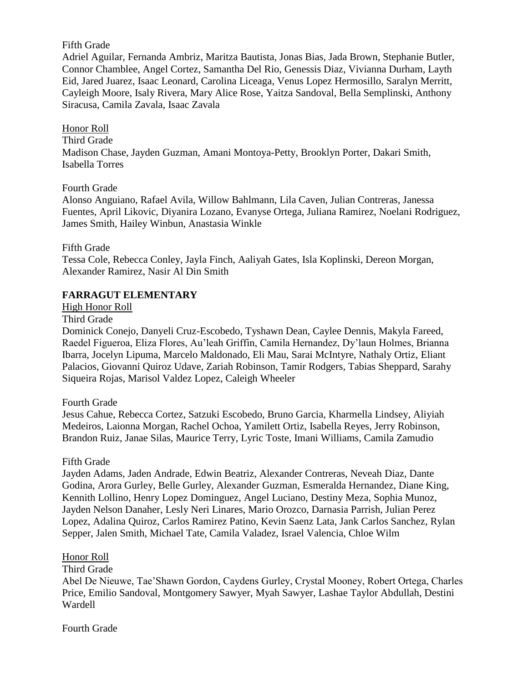## Fifth Grade

Adriel Aguilar, Fernanda Ambriz, Maritza Bautista, Jonas Bias, Jada Brown, Stephanie Butler, Connor Chamblee, Angel Cortez, Samantha Del Rio, Genessis Diaz, Vivianna Durham, Layth Eid, Jared Juarez, Isaac Leonard, Carolina Liceaga, Venus Lopez Hermosillo, Saralyn Merritt, Cayleigh Moore, Isaly Rivera, Mary Alice Rose, Yaitza Sandoval, Bella Semplinski, Anthony Siracusa, Camila Zavala, Isaac Zavala

Honor Roll Third Grade Madison Chase, Jayden Guzman, Amani Montoya-Petty, Brooklyn Porter, Dakari Smith, Isabella Torres

#### Fourth Grade

Alonso Anguiano, Rafael Avila, Willow Bahlmann, Lila Caven, Julian Contreras, Janessa Fuentes, April Likovic, Diyanira Lozano, Evanyse Ortega, Juliana Ramirez, Noelani Rodriguez, James Smith, Hailey Winbun, Anastasia Winkle

#### Fifth Grade

Tessa Cole, Rebecca Conley, Jayla Finch, Aaliyah Gates, Isla Koplinski, Dereon Morgan, Alexander Ramirez, Nasir Al Din Smith

## **FARRAGUT ELEMENTARY**

High Honor Roll

Third Grade

Dominick Conejo, Danyeli Cruz-Escobedo, Tyshawn Dean, Caylee Dennis, Makyla Fareed, Raedel Figueroa, Eliza Flores, Au'leah Griffin, Camila Hernandez, Dy'laun Holmes, Brianna Ibarra, Jocelyn Lipuma, Marcelo Maldonado, Eli Mau, Sarai McIntyre, Nathaly Ortiz, Eliant Palacios, Giovanni Quiroz Udave, Zariah Robinson, Tamir Rodgers, Tabias Sheppard, Sarahy Siqueira Rojas, Marisol Valdez Lopez, Caleigh Wheeler

#### Fourth Grade

Jesus Cahue, Rebecca Cortez, Satzuki Escobedo, Bruno Garcia, Kharmella Lindsey, Aliyiah Medeiros, Laionna Morgan, Rachel Ochoa, Yamilett Ortiz, Isabella Reyes, Jerry Robinson, Brandon Ruiz, Janae Silas, Maurice Terry, Lyric Toste, Imani Williams, Camila Zamudio

## Fifth Grade

Jayden Adams, Jaden Andrade, Edwin Beatriz, Alexander Contreras, Neveah Diaz, Dante Godina, Arora Gurley, Belle Gurley, Alexander Guzman, Esmeralda Hernandez, Diane King, Kennith Lollino, Henry Lopez Dominguez, Angel Luciano, Destiny Meza, Sophia Munoz, Jayden Nelson Danaher, Lesly Neri Linares, Mario Orozco, Darnasia Parrish, Julian Perez Lopez, Adalina Quiroz, Carlos Ramirez Patino, Kevin Saenz Lata, Jank Carlos Sanchez, Rylan Sepper, Jalen Smith, Michael Tate, Camila Valadez, Israel Valencia, Chloe Wilm

## Honor Roll

Third Grade

Abel De Nieuwe, Tae'Shawn Gordon, Caydens Gurley, Crystal Mooney, Robert Ortega, Charles Price, Emilio Sandoval, Montgomery Sawyer, Myah Sawyer, Lashae Taylor Abdullah, Destini Wardell

Fourth Grade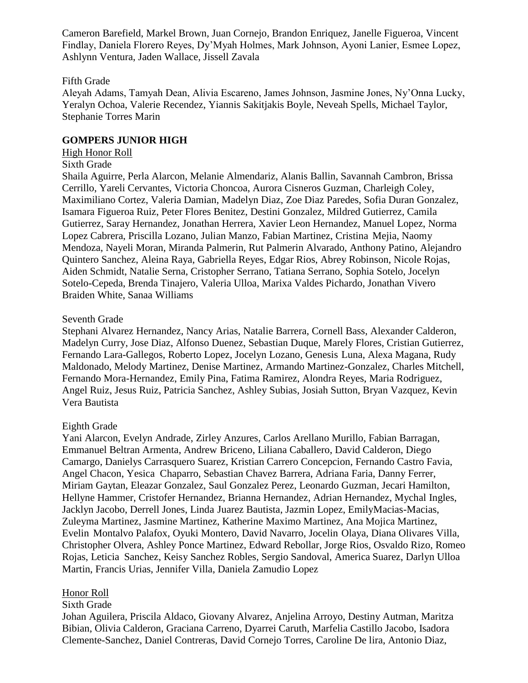Cameron Barefield, Markel Brown, Juan Cornejo, Brandon Enriquez, Janelle Figueroa, Vincent Findlay, Daniela Florero Reyes, Dy'Myah Holmes, Mark Johnson, Ayoni Lanier, Esmee Lopez, Ashlynn Ventura, Jaden Wallace, Jissell Zavala

#### Fifth Grade

Aleyah Adams, Tamyah Dean, Alivia Escareno, James Johnson, Jasmine Jones, Ny'Onna Lucky, Yeralyn Ochoa, Valerie Recendez, Yiannis Sakitjakis Boyle, Neveah Spells, Michael Taylor, Stephanie Torres Marin

#### **GOMPERS JUNIOR HIGH**

#### High Honor Roll

#### Sixth Grade

Shaila Aguirre, Perla Alarcon, Melanie Almendariz, Alanis Ballin, Savannah Cambron, Brissa Cerrillo, Yareli Cervantes, Victoria Choncoa, Aurora Cisneros Guzman, Charleigh Coley, Maximiliano Cortez, Valeria Damian, Madelyn Diaz, Zoe Diaz Paredes, Sofia Duran Gonzalez, Isamara Figueroa Ruiz, Peter Flores Benitez, Destini Gonzalez, Mildred Gutierrez, Camila Gutierrez, Saray Hernandez, Jonathan Herrera, Xavier Leon Hernandez, Manuel Lopez, Norma Lopez Cabrera, Priscilla Lozano, Julian Manzo, Fabian Martinez, Cristina Mejia, Naomy Mendoza, Nayeli Moran, Miranda Palmerin, Rut Palmerin Alvarado, Anthony Patino, Alejandro Quintero Sanchez, Aleina Raya, Gabriella Reyes, Edgar Rios, Abrey Robinson, Nicole Rojas, Aiden Schmidt, Natalie Serna, Cristopher Serrano, Tatiana Serrano, Sophia Sotelo, Jocelyn Sotelo-Cepeda, Brenda Tinajero, Valeria Ulloa, Marixa Valdes Pichardo, Jonathan Vivero Braiden White, Sanaa Williams

#### Seventh Grade

Stephani Alvarez Hernandez, Nancy Arias, Natalie Barrera, Cornell Bass, Alexander Calderon, Madelyn Curry, Jose Diaz, Alfonso Duenez, Sebastian Duque, Marely Flores, Cristian Gutierrez, Fernando Lara-Gallegos, Roberto Lopez, Jocelyn Lozano, Genesis Luna, Alexa Magana, Rudy Maldonado, Melody Martinez, Denise Martinez, Armando Martinez-Gonzalez, Charles Mitchell, Fernando Mora-Hernandez, Emily Pina, Fatima Ramirez, Alondra Reyes, Maria Rodriguez, Angel Ruiz, Jesus Ruiz, Patricia Sanchez, Ashley Subias, Josiah Sutton, Bryan Vazquez, Kevin Vera Bautista

#### Eighth Grade

Yani Alarcon, Evelyn Andrade, Zirley Anzures, Carlos Arellano Murillo, Fabian Barragan, Emmanuel Beltran Armenta, Andrew Briceno, Liliana Caballero, David Calderon, Diego Camargo, Danielys Carrasquero Suarez, Kristian Carrero Concepcion, Fernando Castro Favia, Angel Chacon, Yesica Chaparro, Sebastian Chavez Barrera, Adriana Faria, Danny Ferrer, Miriam Gaytan, Eleazar Gonzalez, Saul Gonzalez Perez, Leonardo Guzman, Jecari Hamilton, Hellyne Hammer, Cristofer Hernandez, Brianna Hernandez, Adrian Hernandez, Mychal Ingles, Jacklyn Jacobo, Derrell Jones, Linda Juarez Bautista, Jazmin Lopez, EmilyMacias-Macias, Zuleyma Martinez, Jasmine Martinez, Katherine Maximo Martinez, Ana Mojica Martinez, Evelin Montalvo Palafox, Oyuki Montero, David Navarro, Jocelin Olaya, Diana Olivares Villa, Christopher Olvera, Ashley Ponce Martinez, Edward Rebollar, Jorge Rios, Osvaldo Rizo, Romeo Rojas, Leticia Sanchez, Keisy Sanchez Robles, Sergio Sandoval, America Suarez, Darlyn Ulloa Martin, Francis Urias, Jennifer Villa, Daniela Zamudio Lopez

## Honor Roll

#### Sixth Grade

Johan Aguilera, Priscila Aldaco, Giovany Alvarez, Anjelina Arroyo, Destiny Autman, Maritza Bibian, Olivia Calderon, Graciana Carreno, Dyarrei Caruth, Marfelia Castillo Jacobo, Isadora Clemente-Sanchez, Daniel Contreras, David Cornejo Torres, Caroline De lira, Antonio Diaz,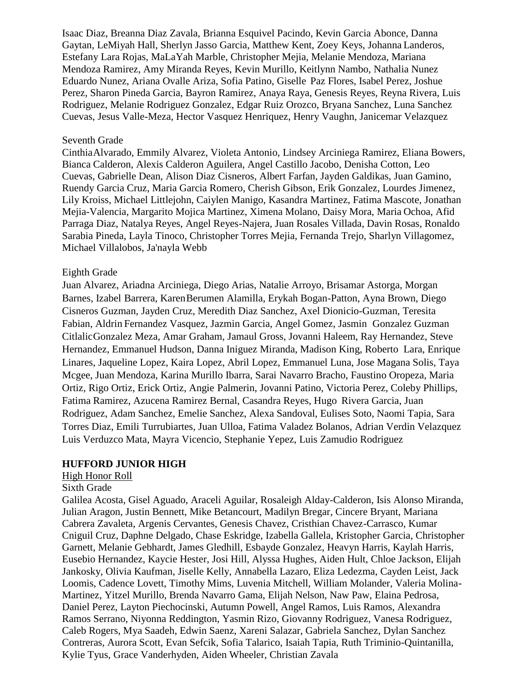Isaac Diaz, Breanna Diaz Zavala, Brianna Esquivel Pacindo, Kevin Garcia Abonce, Danna Gaytan, LeMiyah Hall, Sherlyn Jasso Garcia, Matthew Kent, Zoey Keys, Johanna Landeros, Estefany Lara Rojas, MaLaYah Marble, Christopher Mejia, Melanie Mendoza, Mariana Mendoza Ramirez, Amy Miranda Reyes, Kevin Murillo, Keitlynn Nambo, Nathalia Nunez Eduardo Nunez, Ariana Ovalle Ariza, Sofia Patino, Giselle Paz Flores, Isabel Perez, Joshue Perez, Sharon Pineda Garcia, Bayron Ramirez, Anaya Raya, Genesis Reyes, Reyna Rivera, Luis Rodriguez, Melanie Rodriguez Gonzalez, Edgar Ruiz Orozco, Bryana Sanchez, Luna Sanchez Cuevas, Jesus Valle-Meza, Hector Vasquez Henriquez, Henry Vaughn, Janicemar Velazquez

#### Seventh Grade

CinthiaAlvarado, Emmily Alvarez, Violeta Antonio, Lindsey Arciniega Ramirez, Eliana Bowers, Bianca Calderon, Alexis Calderon Aguilera, Angel Castillo Jacobo, Denisha Cotton, Leo Cuevas, Gabrielle Dean, Alison Diaz Cisneros, Albert Farfan, Jayden Galdikas, Juan Gamino, Ruendy Garcia Cruz, Maria Garcia Romero, Cherish Gibson, Erik Gonzalez, Lourdes Jimenez, Lily Kroiss, Michael Littlejohn, Caiylen Manigo, Kasandra Martinez, Fatima Mascote, Jonathan Mejia-Valencia, Margarito Mojica Martinez, Ximena Molano, Daisy Mora, Maria Ochoa, Afid Parraga Diaz, Natalya Reyes, Angel Reyes-Najera, Juan Rosales Villada, Davin Rosas, Ronaldo Sarabia Pineda, Layla Tinoco, Christopher Torres Mejia, Fernanda Trejo, Sharlyn Villagomez, Michael Villalobos, Ja'nayla Webb

#### Eighth Grade

Juan Alvarez, Ariadna Arciniega, Diego Arias, Natalie Arroyo, Brisamar Astorga, Morgan Barnes, Izabel Barrera, KarenBerumen Alamilla, Erykah Bogan-Patton, Ayna Brown, Diego Cisneros Guzman, Jayden Cruz, Meredith Diaz Sanchez, Axel Dionicio-Guzman, Teresita Fabian, Aldrin Fernandez Vasquez, Jazmin Garcia, Angel Gomez, Jasmin Gonzalez Guzman CitlalicGonzalez Meza, Amar Graham, Jamaul Gross, Jovanni Haleem, Ray Hernandez, Steve Hernandez, Emmanuel Hudson, Danna Iniguez Miranda, Madison King, Roberto Lara, Enrique Linares, Jaqueline Lopez, Kaira Lopez, Abril Lopez, Emmanuel Luna, Jose Magana Solis, Taya Mcgee, Juan Mendoza, Karina Murillo Ibarra, Sarai Navarro Bracho, Faustino Oropeza, Maria Ortiz, Rigo Ortiz, Erick Ortiz, Angie Palmerin, Jovanni Patino, Victoria Perez, Coleby Phillips, Fatima Ramirez, Azucena Ramirez Bernal, Casandra Reyes, Hugo Rivera Garcia, Juan Rodriguez, Adam Sanchez, Emelie Sanchez, Alexa Sandoval, Eulises Soto, Naomi Tapia, Sara Torres Diaz, Emili Turrubiartes, Juan Ulloa, Fatima Valadez Bolanos, Adrian Verdin Velazquez Luis Verduzco Mata, Mayra Vicencio, Stephanie Yepez, Luis Zamudio Rodriguez

#### **HUFFORD JUNIOR HIGH**

#### High Honor Roll

#### Sixth Grade

Galilea Acosta, Gisel Aguado, Araceli Aguilar, Rosaleigh Alday-Calderon, Isis Alonso Miranda, Julian Aragon, Justin Bennett, Mike Betancourt, Madilyn Bregar, Cincere Bryant, Mariana Cabrera Zavaleta, Argenis Cervantes, Genesis Chavez, Cristhian Chavez-Carrasco, Kumar Cniguil Cruz, Daphne Delgado, Chase Eskridge, Izabella Gallela, Kristopher Garcia, Christopher Garnett, Melanie Gebhardt, James Gledhill, Esbayde Gonzalez, Heavyn Harris, Kaylah Harris, Eusebio Hernandez, Kaycie Hester, Josi Hill, Alyssa Hughes, Aiden Hult, Chloe Jackson, Elijah Jankosky, Olivia Kaufman, Jiselle Kelly, Annabella Lazaro, Eliza Ledezma, Cayden Leist, Jack Loomis, Cadence Lovett, Timothy Mims, Luvenia Mitchell, William Molander, Valeria Molina-Martinez, Yitzel Murillo, Brenda Navarro Gama, Elijah Nelson, Naw Paw, Elaina Pedrosa, Daniel Perez, Layton Piechocinski, Autumn Powell, Angel Ramos, Luis Ramos, Alexandra Ramos Serrano, Niyonna Reddington, Yasmin Rizo, Giovanny Rodriguez, Vanesa Rodriguez, Caleb Rogers, Mya Saadeh, Edwin Saenz, Xareni Salazar, Gabriela Sanchez, Dylan Sanchez Contreras, Aurora Scott, Evan Sefcik, Sofia Talarico, Isaiah Tapia, Ruth Triminio-Quintanilla, Kylie Tyus, Grace Vanderhyden, Aiden Wheeler, Christian Zavala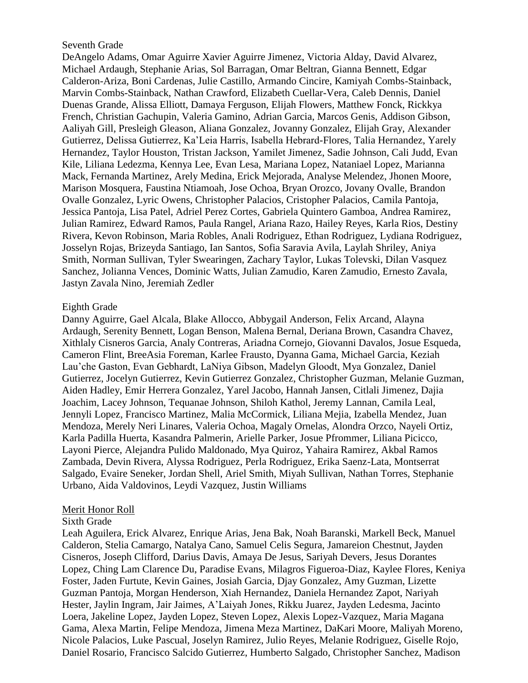## Seventh Grade

DeAngelo Adams, Omar Aguirre Xavier Aguirre Jimenez, Victoria Alday, David Alvarez, Michael Ardaugh, Stephanie Arias, Sol Barragan, Omar Beltran, Gianna Bennett, Edgar Calderon-Ariza, Boni Cardenas, Julie Castillo, Armando Cincire, Kamiyah Combs-Stainback, Marvin Combs-Stainback, Nathan Crawford, Elizabeth Cuellar-Vera, Caleb Dennis, Daniel Duenas Grande, Alissa Elliott, Damaya Ferguson, Elijah Flowers, Matthew Fonck, Rickkya French, Christian Gachupin, Valeria Gamino, Adrian Garcia, Marcos Genis, Addison Gibson, Aaliyah Gill, Presleigh Gleason, Aliana Gonzalez, Jovanny Gonzalez, Elijah Gray, Alexander Gutierrez, Delissa Gutierrez, Ka'Leia Harris, Isabella Hebrard-Flores, Talia Hernandez, Yarely Hernandez, Taylor Houston, Tristan Jackson, Yamilet Jimenez, Sadie Johnson, Cali Judd, Evan Kile, Liliana Ledezma, Kennya Lee, Evan Lesa, Mariana Lopez, Nataniael Lopez, Marianna Mack, Fernanda Martinez, Arely Medina, Erick Mejorada, Analyse Melendez, Jhonen Moore, Marison Mosquera, Faustina Ntiamoah, Jose Ochoa, Bryan Orozco, Jovany Ovalle, Brandon Ovalle Gonzalez, Lyric Owens, Christopher Palacios, Cristopher Palacios, Camila Pantoja, Jessica Pantoja, Lisa Patel, Adriel Perez Cortes, Gabriela Quintero Gamboa, Andrea Ramirez, Julian Ramirez, Edward Ramos, Paula Rangel, Ariana Razo, Hailey Reyes, Karla Rios, Destiny Rivera, Kevon Robinson, Maria Robles, Anali Rodriguez, Ethan Rodriguez, Lydiana Rodriguez, Josselyn Rojas, Brizeyda Santiago, Ian Santos, Sofia Saravia Avila, Laylah Shriley, Aniya Smith, Norman Sullivan, Tyler Swearingen, Zachary Taylor, Lukas Tolevski, Dilan Vasquez Sanchez, Jolianna Vences, Dominic Watts, Julian Zamudio, Karen Zamudio, Ernesto Zavala, Jastyn Zavala Nino, Jeremiah Zedler

#### Eighth Grade

Danny Aguirre, Gael Alcala, Blake Allocco, Abbygail Anderson, Felix Arcand, Alayna Ardaugh, Serenity Bennett, Logan Benson, Malena Bernal, Deriana Brown, Casandra Chavez, Xithlaly Cisneros Garcia, Analy Contreras, Ariadna Cornejo, Giovanni Davalos, Josue Esqueda, Cameron Flint, BreeAsia Foreman, Karlee Frausto, Dyanna Gama, Michael Garcia, Keziah Lau'che Gaston, Evan Gebhardt, LaNiya Gibson, Madelyn Gloodt, Mya Gonzalez, Daniel Gutierrez, Jocelyn Gutierrez, Kevin Gutierrez Gonzalez, Christopher Guzman, Melanie Guzman, Aiden Hadley, Emir Herrera Gonzalez, Yarel Jacobo, Hannah Jansen, Citlali Jimenez, Dajia Joachim, Lacey Johnson, Tequanae Johnson, Shiloh Kathol, Jeremy Lannan, Camila Leal, Jennyli Lopez, Francisco Martinez, Malia McCormick, Liliana Mejia, Izabella Mendez, Juan Mendoza, Merely Neri Linares, Valeria Ochoa, Magaly Ornelas, Alondra Orzco, Nayeli Ortiz, Karla Padilla Huerta, Kasandra Palmerin, Arielle Parker, Josue Pfrommer, Liliana Picicco, Layoni Pierce, Alejandra Pulido Maldonado, Mya Quiroz, Yahaira Ramirez, Akbal Ramos Zambada, Devin Rivera, Alyssa Rodriguez, Perla Rodriguez, Erika Saenz-Lata, Montserrat Salgado, Evaire Seneker, Jordan Shell, Ariel Smith, Miyah Sullivan, Nathan Torres, Stephanie Urbano, Aida Valdovinos, Leydi Vazquez, Justin Williams

#### Merit Honor Roll

#### Sixth Grade

Leah Aguilera, Erick Alvarez, Enrique Arias, Jena Bak, Noah Baranski, Markell Beck, Manuel Calderon, Stelia Camargo, Natalya Cano, Samuel Celis Segura, Jamareion Chestnut, Jayden Cisneros, Joseph Clifford, Darius Davis, Amaya De Jesus, Sariyah Devers, Jesus Dorantes Lopez, Ching Lam Clarence Du, Paradise Evans, Milagros Figueroa-Diaz, Kaylee Flores, Keniya Foster, Jaden Furtute, Kevin Gaines, Josiah Garcia, Djay Gonzalez, Amy Guzman, Lizette Guzman Pantoja, Morgan Henderson, Xiah Hernandez, Daniela Hernandez Zapot, Nariyah Hester, Jaylin Ingram, Jair Jaimes, A'Laiyah Jones, Rikku Juarez, Jayden Ledesma, Jacinto Loera, Jakeline Lopez, Jayden Lopez, Steven Lopez, Alexis Lopez-Vazquez, Maria Magana Gama, Alexa Martin, Felipe Mendoza, Jimena Meza Martinez, DaKari Moore, Maliyah Moreno, Nicole Palacios, Luke Pascual, Joselyn Ramirez, Julio Reyes, Melanie Rodriguez, Giselle Rojo, Daniel Rosario, Francisco Salcido Gutierrez, Humberto Salgado, Christopher Sanchez, Madison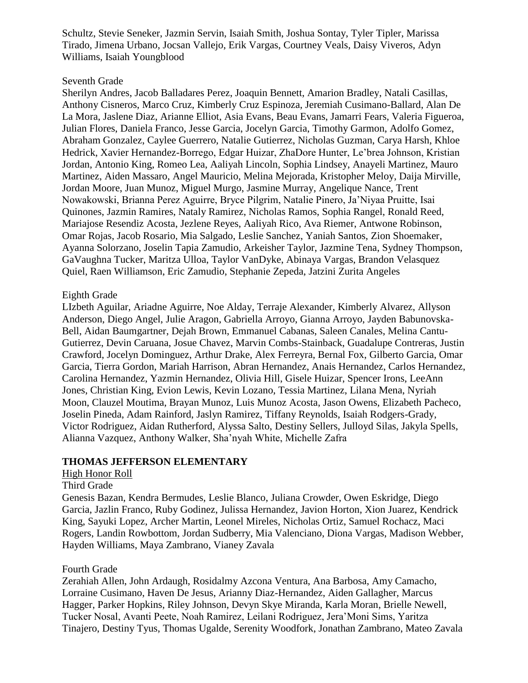Schultz, Stevie Seneker, Jazmin Servin, Isaiah Smith, Joshua Sontay, Tyler Tipler, Marissa Tirado, Jimena Urbano, Jocsan Vallejo, Erik Vargas, Courtney Veals, Daisy Viveros, Adyn Williams, Isaiah Youngblood

#### Seventh Grade

Sherilyn Andres, Jacob Balladares Perez, Joaquin Bennett, Amarion Bradley, Natali Casillas, Anthony Cisneros, Marco Cruz, Kimberly Cruz Espinoza, Jeremiah Cusimano-Ballard, Alan De La Mora, Jaslene Diaz, Arianne Elliot, Asia Evans, Beau Evans, Jamarri Fears, Valeria Figueroa, Julian Flores, Daniela Franco, Jesse Garcia, Jocelyn Garcia, Timothy Garmon, Adolfo Gomez, Abraham Gonzalez, Caylee Guerrero, Natalie Gutierrez, Nicholas Guzman, Carya Harsh, Khloe Hedrick, Xavier Hernandez-Borrego, Edgar Huizar, ZhaDore Hunter, Le'brea Johnson, Kristian Jordan, Antonio King, Romeo Lea, Aaliyah Lincoln, Sophia Lindsey, Anayeli Martinez, Mauro Martinez, Aiden Massaro, Angel Mauricio, Melina Mejorada, Kristopher Meloy, Daija Mirville, Jordan Moore, Juan Munoz, Miguel Murgo, Jasmine Murray, Angelique Nance, Trent Nowakowski, Brianna Perez Aguirre, Bryce Pilgrim, Natalie Pinero, Ja'Niyaa Pruitte, Isai Quinones, Jazmin Ramires, Nataly Ramirez, Nicholas Ramos, Sophia Rangel, Ronald Reed, Mariajose Resendiz Acosta, Jezlene Reyes, Aaliyah Rico, Ava Riemer, Antwone Robinson, Omar Rojas, Jacob Rosario, Mia Salgado, Leslie Sanchez, Yaniah Santos, Zion Shoemaker, Ayanna Solorzano, Joselin Tapia Zamudio, Arkeisher Taylor, Jazmine Tena, Sydney Thompson, GaVaughna Tucker, Maritza Ulloa, Taylor VanDyke, Abinaya Vargas, Brandon Velasquez Quiel, Raen Williamson, Eric Zamudio, Stephanie Zepeda, Jatzini Zurita Angeles

## Eighth Grade

LIzbeth Aguilar, Ariadne Aguirre, Noe Alday, Terraje Alexander, Kimberly Alvarez, Allyson Anderson, Diego Angel, Julie Aragon, Gabriella Arroyo, Gianna Arroyo, Jayden Babunovska-Bell, Aidan Baumgartner, Dejah Brown, Emmanuel Cabanas, Saleen Canales, Melina Cantu-Gutierrez, Devin Caruana, Josue Chavez, Marvin Combs-Stainback, Guadalupe Contreras, Justin Crawford, Jocelyn Dominguez, Arthur Drake, Alex Ferreyra, Bernal Fox, Gilberto Garcia, Omar Garcia, Tierra Gordon, Mariah Harrison, Abran Hernandez, Anais Hernandez, Carlos Hernandez, Carolina Hernandez, Yazmin Hernandez, Olivia Hill, Gisele Huizar, Spencer Irons, LeeAnn Jones, Christian King, Evion Lewis, Kevin Lozano, Tessia Martinez, Lilana Mena, Nyriah Moon, Clauzel Moutima, Brayan Munoz, Luis Munoz Acosta, Jason Owens, Elizabeth Pacheco, Joselin Pineda, Adam Rainford, Jaslyn Ramirez, Tiffany Reynolds, Isaiah Rodgers-Grady, Victor Rodriguez, Aidan Rutherford, Alyssa Salto, Destiny Sellers, Julloyd Silas, Jakyla Spells, Alianna Vazquez, Anthony Walker, Sha'nyah White, Michelle Zafra

## **THOMAS JEFFERSON ELEMENTARY**

#### High Honor Roll

#### Third Grade

Genesis Bazan, Kendra Bermudes, Leslie Blanco, Juliana Crowder, Owen Eskridge, Diego Garcia, Jazlin Franco, Ruby Godinez, Julissa Hernandez, Javion Horton, Xion Juarez, Kendrick King, Sayuki Lopez, Archer Martin, Leonel Mireles, Nicholas Ortiz, Samuel Rochacz, Maci Rogers, Landin Rowbottom, Jordan Sudberry, Mia Valenciano, Diona Vargas, Madison Webber, Hayden Williams, Maya Zambrano, Vianey Zavala

#### Fourth Grade

Zerahiah Allen, John Ardaugh, Rosidalmy Azcona Ventura, Ana Barbosa, Amy Camacho, Lorraine Cusimano, Haven De Jesus, Arianny Diaz-Hernandez, Aiden Gallagher, Marcus Hagger, Parker Hopkins, Riley Johnson, Devyn Skye Miranda, Karla Moran, Brielle Newell, Tucker Nosal, Avanti Peete, Noah Ramirez, Leilani Rodriguez, Jera'Moni Sims, Yaritza Tinajero, Destiny Tyus, Thomas Ugalde, Serenity Woodfork, Jonathan Zambrano, Mateo Zavala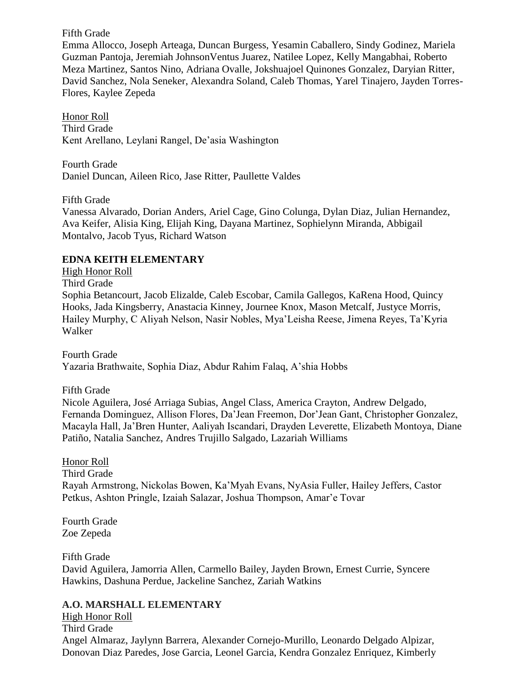Fifth Grade

Emma Allocco, Joseph Arteaga, Duncan Burgess, Yesamin Caballero, Sindy Godinez, Mariela Guzman Pantoja, Jeremiah JohnsonVentus Juarez, Natilee Lopez, Kelly Mangabhai, Roberto Meza Martinez, Santos Nino, Adriana Ovalle, Jokshuajoel Quinones Gonzalez, Daryian Ritter, David Sanchez, Nola Seneker, Alexandra Soland, Caleb Thomas, Yarel Tinajero, Jayden Torres-Flores, Kaylee Zepeda

Honor Roll Third Grade Kent Arellano, Leylani Rangel, De'asia Washington

Fourth Grade Daniel Duncan, Aileen Rico, Jase Ritter, Paullette Valdes

Fifth Grade

Vanessa Alvarado, Dorian Anders, Ariel Cage, Gino Colunga, Dylan Diaz, Julian Hernandez, Ava Keifer, Alisia King, Elijah King, Dayana Martinez, Sophielynn Miranda, Abbigail Montalvo, Jacob Tyus, Richard Watson

# **EDNA KEITH ELEMENTARY**

High Honor Roll

Third Grade

Sophia Betancourt, Jacob Elizalde, Caleb Escobar, Camila Gallegos, KaRena Hood, Quincy Hooks, Jada Kingsberry, Anastacia Kinney, Journee Knox, Mason Metcalf, Justyce Morris, Hailey Murphy, C Aliyah Nelson, Nasir Nobles, Mya'Leisha Reese, Jimena Reyes, Ta'Kyria Walker

Fourth Grade Yazaria Brathwaite, Sophia Diaz, Abdur Rahim Falaq, A'shia Hobbs

Fifth Grade

Nicole Aguilera, José Arriaga Subias, Angel Class, America Crayton, Andrew Delgado, Fernanda Dominguez, Allison Flores, Da'Jean Freemon, Dor'Jean Gant, Christopher Gonzalez, Macayla Hall, Ja'Bren Hunter, Aaliyah Iscandari, Drayden Leverette, Elizabeth Montoya, Diane Patiño, Natalia Sanchez, Andres Trujillo Salgado, Lazariah Williams

Honor Roll

Third Grade Rayah Armstrong, Nickolas Bowen, Ka'Myah Evans, NyAsia Fuller, Hailey Jeffers, Castor Petkus, Ashton Pringle, Izaiah Salazar, Joshua Thompson, Amar'e Tovar

Fourth Grade Zoe Zepeda

Fifth Grade David Aguilera, Jamorria Allen, Carmello Bailey, Jayden Brown, Ernest Currie, Syncere Hawkins, Dashuna Perdue, Jackeline Sanchez, Zariah Watkins

# **A.O. MARSHALL ELEMENTARY**

High Honor Roll Third Grade Angel Almaraz, Jaylynn Barrera, Alexander Cornejo-Murillo, Leonardo Delgado Alpizar, Donovan Diaz Paredes, Jose Garcia, Leonel Garcia, Kendra Gonzalez Enriquez, Kimberly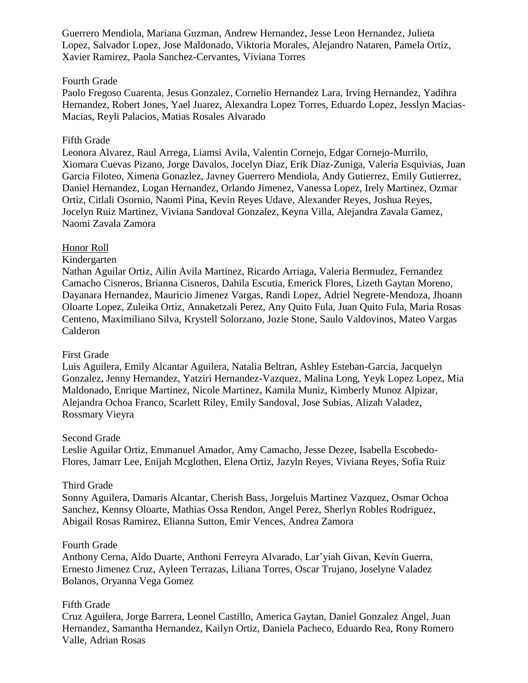Guerrero Mendiola, Mariana Guzman, Andrew Hernandez, Jesse Leon Hernandez, Julieta Lopez, Salvador Lopez, Jose Maldonado, Viktoria Morales, Alejandro Nataren, Pamela Ortiz, Xavier Ramirez, Paola Sanchez-Cervantes, Viviana Torres

## Fourth Grade

Paolo Fregoso Cuarenta, Jesus Gonzalez, Cornelio Hernandez Lara, Irving Hernandez, Yadihra Hernandez, Robert Jones, Yael Juarez, Alexandra Lopez Torres, Eduardo Lopez, Jesslyn Macias-Macias, Reyli Palacios, Matias Rosales Alvarado

## Fifth Grade

Leonora Alvarez, Raul Arrega, Liamsi Avila, Valentin Cornejo, Edgar Cornejo-Murrilo, Xiomara Cuevas Pizano, Jorge Davalos, Jocelyn Diaz, Erik Diaz-Zuniga, Valeria Esquivias, Juan Garcia Filoteo, Ximena Gonazlez, Javney Guerrero Mendiola, Andy Gutierrez, Emily Gutierrez, Daniel Hernandez, Logan Hernandez, Orlando Jimenez, Vanessa Lopez, Irely Martinez, Ozmar Ortiz, Citlali Osornio, Naomi Pina, Kevin Reyes Udave, Alexander Reyes, Joshua Reyes, Jocelyn Ruiz Martinez, Viviana Sandoval Gonzalez, Keyna Villa, Alejandra Zavala Gamez, Naomi Zavala Zamora

## Honor Roll

## Kindergarten

Nathan Aguilar Ortiz, Ailin Avila Martinez, Ricardo Arriaga, Valeria Bermudez, Fernandez Camacho Cisneros, Brianna Cisneros, Dahila Escutia, Emerick Flores, Lizeth Gaytan Moreno, Dayanara Hernandez, Mauricio Jimenez Vargas, Randi Lopez, Adriel Negrete-Mendoza, Jhoann Oloarte Lopez, Zuleika Ortiz, Annaketzali Perez, Any Quito Fula, Juan Quito Fula, Maria Rosas Centeno, Maximiliano Silva, Krystell Solorzano, Jozie Stone, Saulo Valdovinos, Mateo Vargas Calderon

## First Grade

Luis Aguilera, Emily Alcantar Aguilera, Natalia Beltran, Ashley Esteban-Garcia, Jacquelyn Gonzalez, Jenny Hernandez, Yatziri Hernandez-Vazquez, Malina Long, Yeyk Lopez Lopez, Mia Maldonado, Enrique Martinez, Nicole Martinez, Kamila Muniz, Kimberly Munoz Alpizar, Alejandra Ochoa Franco, Scarlett Riley, Emily Sandoval, Jose Subias, Alizah Valadez, Rossmary Vieyra

## Second Grade

Leslie Aguilar Ortiz, Emmanuel Amador, Amy Camacho, Jesse Dezee, Isabella Escobedo-Flores, Jamarr Lee, Enijah Mcglothen, Elena Ortiz, Jazyln Reyes, Viviana Reyes, Sofia Ruiz

## Third Grade

Sonny Aguilera, Damaris Alcantar, Cherish Bass, Jorgeluis Martinez Vazquez, Osmar Ochoa Sanchez, Kennsy Oloarte, Mathias Ossa Rendon, Angel Perez, Sherlyn Robles Rodriguez, Abigail Rosas Ramirez, Elianna Sutton, Emir Vences, Andrea Zamora

## Fourth Grade

Anthony Cerna, Aldo Duarte, Anthoni Ferreyra Alvarado, Lar'yiah Givan, Kevin Guerra, Ernesto Jimenez Cruz, Ayleen Terrazas, Liliana Torres, Oscar Trujano, Joselyne Valadez Bolanos, Oryanna Vega Gomez

## Fifth Grade

Cruz Aguilera, Jorge Barrera, Leonel Castillo, America Gaytan, Daniel Gonzalez Angel, Juan Hernandez, Samantha Hernandez, Kailyn Ortiz, Daniela Pacheco, Eduardo Rea, Rony Romero Valle, Adrian Rosas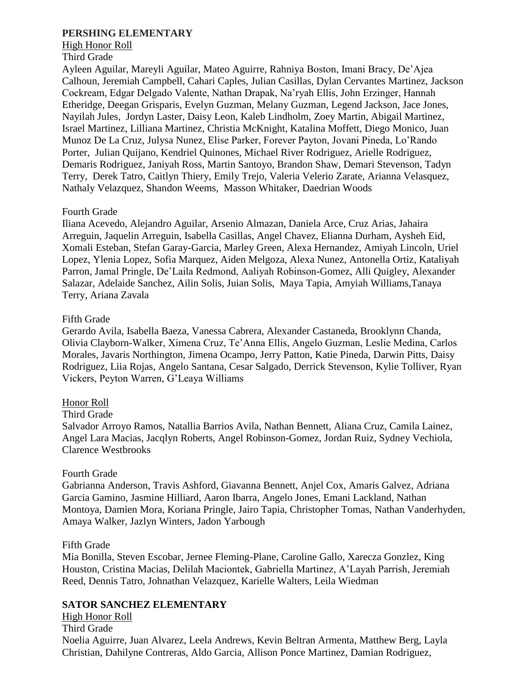## **PERSHING ELEMENTARY**

## High Honor Roll

#### Third Grade

Ayleen Aguilar, Mareyli Aguilar, Mateo Aguirre, Rahniya Boston, Imani Bracy, De'Ajea Calhoun, Jeremiah Campbell, Cahari Caples, Julian Casillas, Dylan Cervantes Martinez, Jackson Cockream, Edgar Delgado Valente, Nathan Drapak, Na'ryah Ellis, John Erzinger, Hannah Etheridge, Deegan Grisparis, Evelyn Guzman, Melany Guzman, Legend Jackson, Jace Jones, Nayilah Jules, Jordyn Laster, Daisy Leon, Kaleb Lindholm, Zoey Martin, Abigail Martinez, Israel Martinez, Lilliana Martinez, Christia McKnight, Katalina Moffett, Diego Monico, Juan Munoz De La Cruz, Julysa Nunez, Elise Parker, Forever Payton, Jovani Pineda, Lo'Rando Porter, Julian Quijano, Kendriel Quinones, Michael River Rodriguez, Arielle Rodriguez, Demaris Rodriguez, Janiyah Ross, Martin Santoyo, Brandon Shaw, Demari Stevenson, Tadyn Terry, Derek Tatro, Caitlyn Thiery, Emily Trejo, Valeria Velerio Zarate, Arianna Velasquez, Nathaly Velazquez, Shandon Weems, Masson Whitaker, Daedrian Woods

## Fourth Grade

Iliana Acevedo, Alejandro Aguilar, Arsenio Almazan, Daniela Arce, Cruz Arias, Jahaira Arreguin, Jaquelin Arreguin, Isabella Casillas, Angel Chavez, Elianna Durham, Aysheh Eid, Xomali Esteban, Stefan Garay-Garcia, Marley Green, Alexa Hernandez, Amiyah Lincoln, Uriel Lopez, Ylenia Lopez, Sofia Marquez, Aiden Melgoza, Alexa Nunez, Antonella Ortiz, Kataliyah Parron, Jamal Pringle, De'Laila Redmond, Aaliyah Robinson-Gomez, Alli Quigley, Alexander Salazar, Adelaide Sanchez, Ailin Solis, Juian Solis, Maya Tapia, Amyiah Williams,Tanaya Terry, Ariana Zavala

## Fifth Grade

Gerardo Avila, Isabella Baeza, Vanessa Cabrera, Alexander Castaneda, Brooklynn Chanda, Olivia Clayborn-Walker, Ximena Cruz, Te'Anna Ellis, Angelo Guzman, Leslie Medina, Carlos Morales, Javaris Northington, Jimena Ocampo, Jerry Patton, Katie Pineda, Darwin Pitts, Daisy Rodriguez, Liia Rojas, Angelo Santana, Cesar Salgado, Derrick Stevenson, Kylie Tolliver, Ryan Vickers, Peyton Warren, G'Leaya Williams

## Honor Roll

## Third Grade

Salvador Arroyo Ramos, Natallia Barrios Avila, Nathan Bennett, Aliana Cruz, Camila Lainez, Angel Lara Macias, Jacqlyn Roberts, Angel Robinson-Gomez, Jordan Ruiz, Sydney Vechiola, Clarence Westbrooks

## Fourth Grade

Gabrianna Anderson, Travis Ashford, Giavanna Bennett, Anjel Cox, Amaris Galvez, Adriana Garcia Gamino, Jasmine Hilliard, Aaron Ibarra, Angelo Jones, Emani Lackland, Nathan Montoya, Damien Mora, Koriana Pringle, Jairo Tapia, Christopher Tomas, Nathan Vanderhyden, Amaya Walker, Jazlyn Winters, Jadon Yarbough

## Fifth Grade

Mia Bonilla, Steven Escobar, Jernee Fleming-Plane, Caroline Gallo, Xarecza Gonzlez, King Houston, Cristina Macias, Delilah Maciontek, Gabriella Martinez, A'Layah Parrish, Jeremiah Reed, Dennis Tatro, Johnathan Velazquez, Karielle Walters, Leila Wiedman

# **SATOR SANCHEZ ELEMENTARY**

High Honor Roll Third Grade Noelia Aguirre, Juan Alvarez, Leela Andrews, Kevin Beltran Armenta, Matthew Berg, Layla Christian, Dahilyne Contreras, Aldo Garcia, Allison Ponce Martinez, Damian Rodriguez,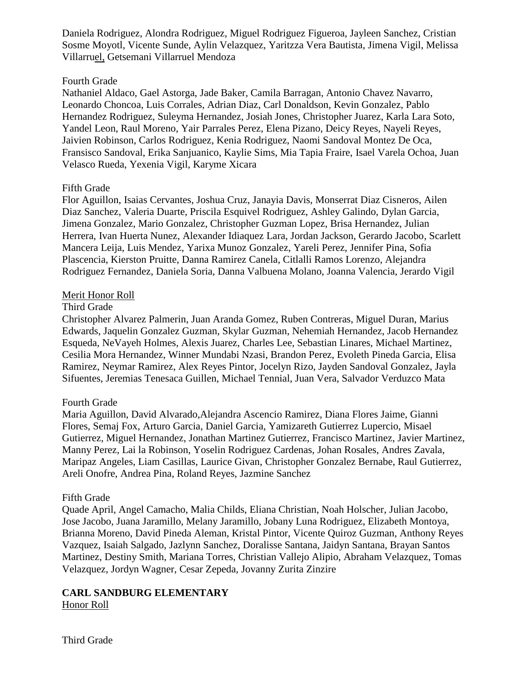Daniela Rodriguez, Alondra Rodriguez, Miguel Rodriguez Figueroa, Jayleen Sanchez, Cristian Sosme Moyotl, Vicente Sunde, Aylin Velazquez, Yaritzza Vera Bautista, Jimena Vigil, Melissa Villarruel, Getsemani Villarruel Mendoza

## Fourth Grade

Nathaniel Aldaco, Gael Astorga, Jade Baker, Camila Barragan, Antonio Chavez Navarro, Leonardo Choncoa, Luis Corrales, Adrian Diaz, Carl Donaldson, Kevin Gonzalez, Pablo Hernandez Rodriguez, Suleyma Hernandez, Josiah Jones, Christopher Juarez, Karla Lara Soto, Yandel Leon, Raul Moreno, Yair Parrales Perez, Elena Pizano, Deicy Reyes, Nayeli Reyes, Jaivien Robinson, Carlos Rodriguez, Kenia Rodriguez, Naomi Sandoval Montez De Oca, Fransisco Sandoval, Erika Sanjuanico, Kaylie Sims, Mia Tapia Fraire, Isael Varela Ochoa, Juan Velasco Rueda, Yexenia Vigil, Karyme Xicara

## Fifth Grade

Flor Aguillon, Isaias Cervantes, Joshua Cruz, Janayia Davis, Monserrat Diaz Cisneros, Ailen Diaz Sanchez, Valeria Duarte, Priscila Esquivel Rodriguez, Ashley Galindo, Dylan Garcia, Jimena Gonzalez, Mario Gonzalez, Christopher Guzman Lopez, Brisa Hernandez, Julian Herrera, Ivan Huerta Nunez, Alexander Idiaquez Lara, Jordan Jackson, Gerardo Jacobo, Scarlett Mancera Leija, Luis Mendez, Yarixa Munoz Gonzalez, Yareli Perez, Jennifer Pina, Sofia Plascencia, Kierston Pruitte, Danna Ramirez Canela, Citlalli Ramos Lorenzo, Alejandra Rodriguez Fernandez, Daniela Soria, Danna Valbuena Molano, Joanna Valencia, Jerardo Vigil

## Merit Honor Roll

## Third Grade

Christopher Alvarez Palmerin, Juan Aranda Gomez, Ruben Contreras, Miguel Duran, Marius Edwards, Jaquelin Gonzalez Guzman, Skylar Guzman, Nehemiah Hernandez, Jacob Hernandez Esqueda, NeVayeh Holmes, Alexis Juarez, Charles Lee, Sebastian Linares, Michael Martinez, Cesilia Mora Hernandez, Winner Mundabi Nzasi, Brandon Perez, Evoleth Pineda Garcia, Elisa Ramirez, Neymar Ramirez, Alex Reyes Pintor, Jocelyn Rizo, Jayden Sandoval Gonzalez, Jayla Sifuentes, Jeremias Tenesaca Guillen, Michael Tennial, Juan Vera, Salvador Verduzco Mata

# Fourth Grade

Maria Aguillon, David Alvarado,Alejandra Ascencio Ramirez, Diana Flores Jaime, Gianni Flores, Semaj Fox, Arturo Garcia, Daniel Garcia, Yamizareth Gutierrez Lupercio, Misael Gutierrez, Miguel Hernandez, Jonathan Martinez Gutierrez, Francisco Martinez, Javier Martinez, Manny Perez, Lai la Robinson, Yoselin Rodriguez Cardenas, Johan Rosales, Andres Zavala, Maripaz Angeles, Liam Casillas, Laurice Givan, Christopher Gonzalez Bernabe, Raul Gutierrez, Areli Onofre, Andrea Pina, Roland Reyes, Jazmine Sanchez

## Fifth Grade

Quade April, Angel Camacho, Malia Childs, Eliana Christian, Noah Holscher, Julian Jacobo, Jose Jacobo, Juana Jaramillo, Melany Jaramillo, Jobany Luna Rodriguez, Elizabeth Montoya, Brianna Moreno, David Pineda Aleman, Kristal Pintor, Vicente Quiroz Guzman, Anthony Reyes Vazquez, Isaiah Salgado, Jazlynn Sanchez, Doralisse Santana, Jaidyn Santana, Brayan Santos Martinez, Destiny Smith, Mariana Torres, Christian Vallejo Alipio, Abraham Velazquez, Tomas Velazquez, Jordyn Wagner, Cesar Zepeda, Jovanny Zurita Zinzire

# **CARL SANDBURG ELEMENTARY**

Honor Roll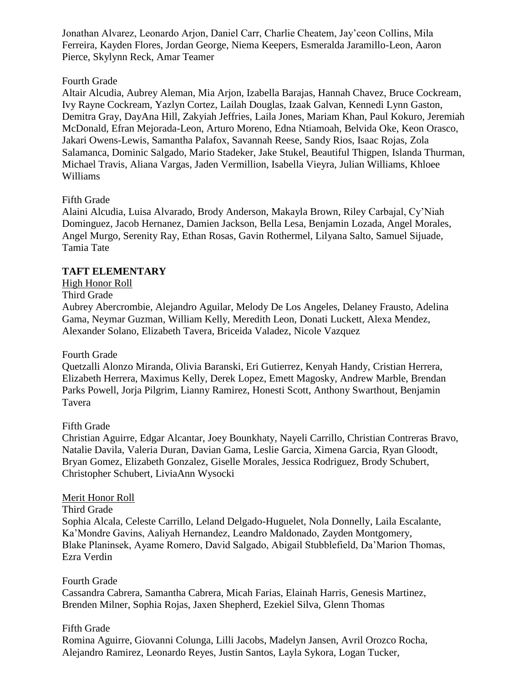Jonathan Alvarez, Leonardo Arjon, Daniel Carr, Charlie Cheatem, Jay'ceon Collins, Mila Ferreira, Kayden Flores, Jordan George, Niema Keepers, Esmeralda Jaramillo-Leon, Aaron Pierce, Skylynn Reck, Amar Teamer

## Fourth Grade

Altair Alcudia, Aubrey Aleman, Mia Arjon, Izabella Barajas, Hannah Chavez, Bruce Cockream, Ivy Rayne Cockream, Yazlyn Cortez, Lailah Douglas, Izaak Galvan, Kennedi Lynn Gaston, Demitra Gray, DayAna Hill, Zakyiah Jeffries, Laila Jones, Mariam Khan, Paul Kokuro, Jeremiah McDonald, Efran Mejorada-Leon, Arturo Moreno, Edna Ntiamoah, Belvida Oke, Keon Orasco, Jakari Owens-Lewis, Samantha Palafox, Savannah Reese, Sandy Rios, Isaac Rojas, Zola Salamanca, Dominic Salgado, Mario Stadeker, Jake Stukel, Beautiful Thigpen, Islanda Thurman, Michael Travis, Aliana Vargas, Jaden Vermillion, Isabella Vieyra, Julian Williams, Khloee Williams

# Fifth Grade

Alaini Alcudia, Luisa Alvarado, Brody Anderson, Makayla Brown, Riley Carbajal, Cy'Niah Dominguez, Jacob Hernanez, Damien Jackson, Bella Lesa, Benjamin Lozada, Angel Morales, Angel Murgo, Serenity Ray, Ethan Rosas, Gavin Rothermel, Lilyana Salto, Samuel Sijuade, Tamia Tate

## **TAFT ELEMENTARY**

# High Honor Roll

## Third Grade

Aubrey Abercrombie, Alejandro Aguilar, Melody De Los Angeles, Delaney Frausto, Adelina Gama, Neymar Guzman, William Kelly, Meredith Leon, Donati Luckett, Alexa Mendez, Alexander Solano, Elizabeth Tavera, Briceida Valadez, Nicole Vazquez

# Fourth Grade

Quetzalli Alonzo Miranda, Olivia Baranski, Eri Gutierrez, Kenyah Handy, Cristian Herrera, Elizabeth Herrera, Maximus Kelly, Derek Lopez, Emett Magosky, Andrew Marble, Brendan Parks Powell, Jorja Pilgrim, Lianny Ramirez, Honesti Scott, Anthony Swarthout, Benjamin Tavera

# Fifth Grade

Christian Aguirre, Edgar Alcantar, Joey Bounkhaty, Nayeli Carrillo, Christian Contreras Bravo, Natalie Davila, Valeria Duran, Davian Gama, Leslie Garcia, Ximena Garcia, Ryan Gloodt, Bryan Gomez, Elizabeth Gonzalez, Giselle Morales, Jessica Rodriguez, Brody Schubert, Christopher Schubert, LiviaAnn Wysocki

## Merit Honor Roll

## Third Grade

Sophia Alcala, Celeste Carrillo, Leland Delgado-Huguelet, Nola Donnelly, Laila Escalante, Ka'Mondre Gavins, Aaliyah Hernandez, Leandro Maldonado, Zayden Montgomery, Blake Planinsek, Ayame Romero, David Salgado, Abigail Stubblefield, Da'Marion Thomas, Ezra Verdin

## Fourth Grade

Cassandra Cabrera, Samantha Cabrera, Micah Farias, Elainah Harris, Genesis Martinez, Brenden Milner, Sophia Rojas, Jaxen Shepherd, Ezekiel Silva, Glenn Thomas

# Fifth Grade

Romina Aguirre, Giovanni Colunga, Lilli Jacobs, Madelyn Jansen, Avril Orozco Rocha, Alejandro Ramirez, Leonardo Reyes, Justin Santos, Layla Sykora, Logan Tucker,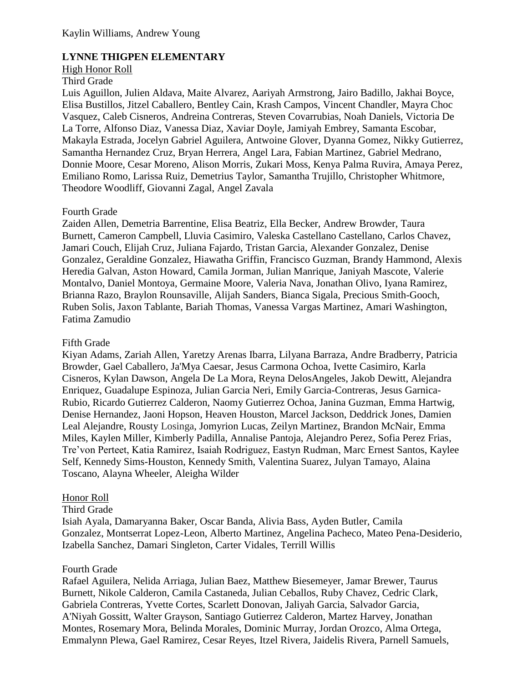# **LYNNE THIGPEN ELEMENTARY**

#### High Honor Roll

#### Third Grade

Luis Aguillon, Julien Aldava, Maite Alvarez, Aariyah Armstrong, Jairo Badillo, Jakhai Boyce, Elisa Bustillos, Jitzel Caballero, Bentley Cain, Krash Campos, Vincent Chandler, Mayra Choc Vasquez, Caleb Cisneros, Andreina Contreras, Steven Covarrubias, Noah Daniels, Victoria De La Torre, Alfonso Diaz, Vanessa Diaz, Xaviar Doyle, Jamiyah Embrey, Samanta Escobar, Makayla Estrada, Jocelyn Gabriel Aguilera, Antwoine Glover, Dyanna Gomez, Nikky Gutierrez, Samantha Hernandez Cruz, Bryan Herrera, Angel Lara, Fabian Martinez, Gabriel Medrano, Donnie Moore, Cesar Moreno, Alison Morris, Zukari Moss, Kenya Palma Ruvira, Amaya Perez, Emiliano Romo, Larissa Ruiz, Demetrius Taylor, Samantha Trujillo, Christopher Whitmore, Theodore Woodliff, Giovanni Zagal, Angel Zavala

## Fourth Grade

Zaiden Allen, Demetria Barrentine, Elisa Beatriz, Ella Becker, Andrew Browder, Taura Burnett, Cameron Campbell, Lluvia Casimiro, Valeska Castellano Castellano, Carlos Chavez, Jamari Couch, Elijah Cruz, Juliana Fajardo, Tristan Garcia, Alexander Gonzalez, Denise Gonzalez, Geraldine Gonzalez, Hiawatha Griffin, Francisco Guzman, Brandy Hammond, Alexis Heredia Galvan, Aston Howard, Camila Jorman, Julian Manrique, Janiyah Mascote, Valerie Montalvo, Daniel Montoya, Germaine Moore, Valeria Nava, Jonathan Olivo, Iyana Ramirez, Brianna Razo, Braylon Rounsaville, Alijah Sanders, Bianca Sigala, Precious Smith-Gooch, Ruben Solis, Jaxon Tablante, Bariah Thomas, Vanessa Vargas Martinez, Amari Washington, Fatima Zamudio

## Fifth Grade

Kiyan Adams, Zariah Allen, Yaretzy Arenas Ibarra, Lilyana Barraza, Andre Bradberry, Patricia Browder, Gael Caballero, Ja'Mya Caesar, Jesus Carmona Ochoa, Ivette Casimiro, Karla Cisneros, Kylan Dawson, Angela De La Mora, Reyna DelosAngeles, Jakob Dewitt, Alejandra Enriquez, Guadalupe Espinoza, Julian Garcia Neri, Emily Garcia-Contreras, Jesus Garnica-Rubio, Ricardo Gutierrez Calderon, Naomy Gutierrez Ochoa, Janina Guzman, Emma Hartwig, Denise Hernandez, Jaoni Hopson, Heaven Houston, Marcel Jackson, Deddrick Jones, Damien Leal Alejandre, Rousty Losinga, Jomyrion Lucas, Zeilyn Martinez, Brandon McNair, Emma Miles, Kaylen Miller, Kimberly Padilla, Annalise Pantoja, Alejandro Perez, Sofia Perez Frias, Tre'von Perteet, Katia Ramirez, Isaiah Rodriguez, Eastyn Rudman, Marc Ernest Santos, Kaylee Self, Kennedy Sims-Houston, Kennedy Smith, Valentina Suarez, Julyan Tamayo, Alaina Toscano, Alayna Wheeler, Aleigha Wilder

## Honor Roll

## Third Grade

Isiah Ayala, Damaryanna Baker, Oscar Banda, Alivia Bass, Ayden Butler, Camila Gonzalez, Montserrat Lopez-Leon, Alberto Martinez, Angelina Pacheco, Mateo Pena-Desiderio, Izabella Sanchez, Damari Singleton, Carter Vidales, Terrill Willis

## Fourth Grade

Rafael Aguilera, Nelida Arriaga, Julian Baez, Matthew Biesemeyer, Jamar Brewer, Taurus Burnett, Nikole Calderon, Camila Castaneda, Julian Ceballos, Ruby Chavez, Cedric Clark, Gabriela Contreras, Yvette Cortes, Scarlett Donovan, Jaliyah Garcia, Salvador Garcia, A'Niyah Gossitt, Walter Grayson, Santiago Gutierrez Calderon, Martez Harvey, Jonathan Montes, Rosemary Mora, Belinda Morales, Dominic Murray, Jordan Orozco, Alma Ortega, Emmalynn Plewa, Gael Ramirez, Cesar Reyes, Itzel Rivera, Jaidelis Rivera, Parnell Samuels,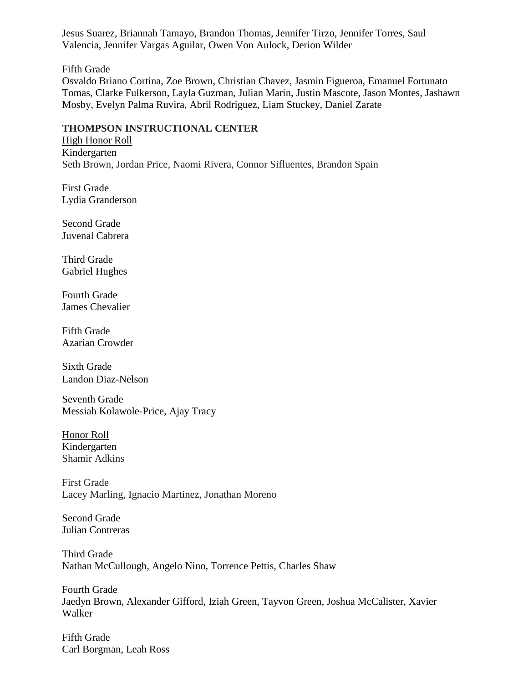Jesus Suarez, Briannah Tamayo, Brandon Thomas, Jennifer Tirzo, Jennifer Torres, Saul Valencia, Jennifer Vargas Aguilar, Owen Von Aulock, Derion Wilder

Fifth Grade

Osvaldo Briano Cortina, Zoe Brown, Christian Chavez, Jasmin Figueroa, Emanuel Fortunato Tomas, Clarke Fulkerson, Layla Guzman, Julian Marin, Justin Mascote, Jason Montes, Jashawn Mosby, Evelyn Palma Ruvira, Abril Rodriguez, Liam Stuckey, Daniel Zarate

# **THOMPSON INSTRUCTIONAL CENTER**

High Honor Roll Kindergarten Seth Brown, Jordan Price, Naomi Rivera, Connor Sifluentes, Brandon Spain

First Grade Lydia Granderson

Second Grade Juvenal Cabrera

Third Grade Gabriel Hughes

Fourth Grade James Chevalier

Fifth Grade Azarian Crowder

Sixth Grade Landon Diaz-Nelson

Seventh Grade Messiah Kolawole-Price, Ajay Tracy

Honor Roll Kindergarten Shamir Adkins

First Grade Lacey Marling, Ignacio Martinez, Jonathan Moreno

Second Grade Julian Contreras

Third Grade Nathan McCullough, Angelo Nino, Torrence Pettis, Charles Shaw

Fourth Grade Jaedyn Brown, Alexander Gifford, Iziah Green, Tayvon Green, Joshua McCalister, Xavier Walker

Fifth Grade Carl Borgman, Leah Ross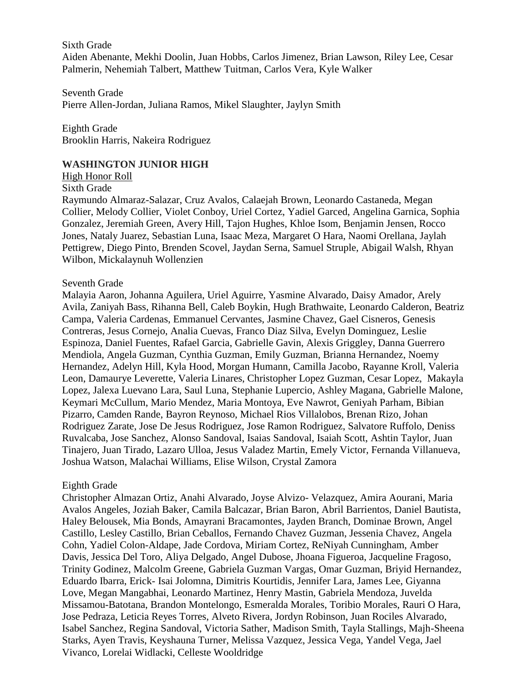Sixth Grade Aiden Abenante, Mekhi Doolin, Juan Hobbs, Carlos Jimenez, Brian Lawson, Riley Lee, Cesar Palmerin, Nehemiah Talbert, Matthew Tuitman, Carlos Vera, Kyle Walker

Seventh Grade Pierre Allen-Jordan, Juliana Ramos, Mikel Slaughter, Jaylyn Smith

Eighth Grade Brooklin Harris, Nakeira Rodriguez

#### **WASHINGTON JUNIOR HIGH**

High Honor Roll

#### Sixth Grade

Raymundo Almaraz-Salazar, Cruz Avalos, Calaejah Brown, Leonardo Castaneda, Megan Collier, Melody Collier, Violet Conboy, Uriel Cortez, Yadiel Garced, Angelina Garnica, Sophia Gonzalez, Jeremiah Green, Avery Hill, Tajon Hughes, Khloe Isom, Benjamin Jensen, Rocco Jones, Nataly Juarez, Sebastian Luna, Isaac Meza, Margaret O Hara, Naomi Orellana, Jaylah Pettigrew, Diego Pinto, Brenden Scovel, Jaydan Serna, Samuel Struple, Abigail Walsh, Rhyan Wilbon, Mickalaynuh Wollenzien

#### Seventh Grade

Malayia Aaron, Johanna Aguilera, Uriel Aguirre, Yasmine Alvarado, Daisy Amador, Arely Avila, Zaniyah Bass, Rihanna Bell, Caleb Boykin, Hugh Brathwaite, Leonardo Calderon, Beatriz Campa, Valeria Cardenas, Emmanuel Cervantes, Jasmine Chavez, Gael Cisneros, Genesis Contreras, Jesus Cornejo, Analia Cuevas, Franco Diaz Silva, Evelyn Dominguez, Leslie Espinoza, Daniel Fuentes, Rafael Garcia, Gabrielle Gavin, Alexis Griggley, Danna Guerrero Mendiola, Angela Guzman, Cynthia Guzman, Emily Guzman, Brianna Hernandez, Noemy Hernandez, Adelyn Hill, Kyla Hood, Morgan Humann, Camilla Jacobo, Rayanne Kroll, Valeria Leon, Damaurye Leverette, Valeria Linares, Christopher Lopez Guzman, Cesar Lopez, Makayla Lopez, Jalexa Luevano Lara, Saul Luna, Stephanie Lupercio, Ashley Magana, Gabrielle Malone, Keymari McCullum, Mario Mendez, Maria Montoya, Eve Nawrot, Geniyah Parham, Bibian Pizarro, Camden Rande, Bayron Reynoso, Michael Rios Villalobos, Brenan Rizo, Johan Rodriguez Zarate, Jose De Jesus Rodriguez, Jose Ramon Rodriguez, Salvatore Ruffolo, Deniss Ruvalcaba, Jose Sanchez, Alonso Sandoval, Isaias Sandoval, Isaiah Scott, Ashtin Taylor, Juan Tinajero, Juan Tirado, Lazaro Ulloa, Jesus Valadez Martin, Emely Victor, Fernanda Villanueva, Joshua Watson, Malachai Williams, Elise Wilson, Crystal Zamora

#### Eighth Grade

Christopher Almazan Ortiz, Anahi Alvarado, Joyse Alvizo- Velazquez, Amira Aourani, Maria Avalos Angeles, Joziah Baker, Camila Balcazar, Brian Baron, Abril Barrientos, Daniel Bautista, Haley Belousek, Mia Bonds, Amayrani Bracamontes, Jayden Branch, Dominae Brown, Angel Castillo, Lesley Castillo, Brian Ceballos, Fernando Chavez Guzman, Jessenia Chavez, Angela Cohn, Yadiel Colon-Aldape, Jade Cordova, Miriam Cortez, ReNiyah Cunningham, Amber Davis, Jessica Del Toro, Aliya Delgado, Angel Dubose, Jhoana Figueroa, Jacqueline Fragoso, Trinity Godinez, Malcolm Greene, Gabriela Guzman Vargas, Omar Guzman, Briyid Hernandez, Eduardo Ibarra, Erick- Isai Jolomna, Dimitris Kourtidis, Jennifer Lara, James Lee, Giyanna Love, Megan Mangabhai, Leonardo Martinez, Henry Mastin, Gabriela Mendoza, Juvelda Missamou-Batotana, Brandon Montelongo, Esmeralda Morales, Toribio Morales, Rauri O Hara, Jose Pedraza, Leticia Reyes Torres, Alveto Rivera, Jordyn Robinson, Juan Rociles Alvarado, Isabel Sanchez, Regina Sandoval, Victoria Sather, Madison Smith, Tayla Stallings, Majh-Sheena Starks, Ayen Travis, Keyshauna Turner, Melissa Vazquez, Jessica Vega, Yandel Vega, Jael Vivanco, Lorelai Widlacki, Celleste Wooldridge